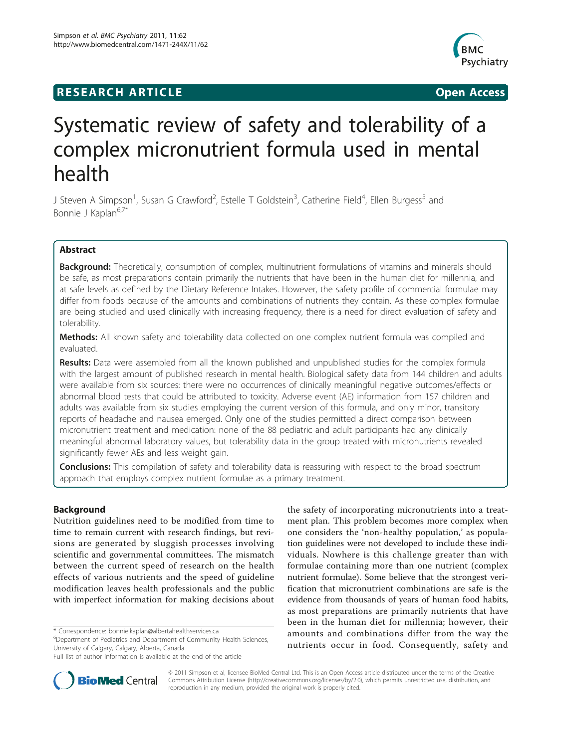# **RESEARCH ARTICLE Example 2018 12:00 Open Access**



# Systematic review of safety and tolerability of a complex micronutrient formula used in mental health

J Steven A Simpson<sup>1</sup>, Susan G Crawford<sup>2</sup>, Estelle T Goldstein<sup>3</sup>, Catherine Field<sup>4</sup>, Ellen Burgess<sup>5</sup> and Bonnie J Kaplan<sup>6,7\*</sup>

# Abstract

**Background:** Theoretically, consumption of complex, multinutrient formulations of vitamins and minerals should be safe, as most preparations contain primarily the nutrients that have been in the human diet for millennia, and at safe levels as defined by the Dietary Reference Intakes. However, the safety profile of commercial formulae may differ from foods because of the amounts and combinations of nutrients they contain. As these complex formulae are being studied and used clinically with increasing frequency, there is a need for direct evaluation of safety and tolerability.

Methods: All known safety and tolerability data collected on one complex nutrient formula was compiled and evaluated.

**Results:** Data were assembled from all the known published and unpublished studies for the complex formula with the largest amount of published research in mental health. Biological safety data from 144 children and adults were available from six sources: there were no occurrences of clinically meaningful negative outcomes/effects or abnormal blood tests that could be attributed to toxicity. Adverse event (AE) information from 157 children and adults was available from six studies employing the current version of this formula, and only minor, transitory reports of headache and nausea emerged. Only one of the studies permitted a direct comparison between micronutrient treatment and medication: none of the 88 pediatric and adult participants had any clinically meaningful abnormal laboratory values, but tolerability data in the group treated with micronutrients revealed significantly fewer AEs and less weight gain.

Conclusions: This compilation of safety and tolerability data is reassuring with respect to the broad spectrum approach that employs complex nutrient formulae as a primary treatment.

# Background

Nutrition guidelines need to be modified from time to time to remain current with research findings, but revisions are generated by sluggish processes involving scientific and governmental committees. The mismatch between the current speed of research on the health effects of various nutrients and the speed of guideline modification leaves health professionals and the public with imperfect information for making decisions about

\* Correspondence: [bonnie.kaplan@albertahealthservices.ca](mailto:bonnie.kaplan@albertahealthservices.ca)

<sup>6</sup>Department of Pediatrics and Department of Community Health Sciences, University of Calgary, Calgary, Alberta, Canada

the safety of incorporating micronutrients into a treatment plan. This problem becomes more complex when one considers the 'non-healthy population,' as population guidelines were not developed to include these individuals. Nowhere is this challenge greater than with formulae containing more than one nutrient (complex nutrient formulae). Some believe that the strongest verification that micronutrient combinations are safe is the evidence from thousands of years of human food habits, as most preparations are primarily nutrients that have been in the human diet for millennia; however, their amounts and combinations differ from the way the nutrients occur in food. Consequently, safety and



© 2011 Simpson et al; licensee BioMed Central Ltd. This is an Open Access article distributed under the terms of the Creative Commons Attribution License [\(http://creativecommons.org/licenses/by/2.0](http://creativecommons.org/licenses/by/2.0)), which permits unrestricted use, distribution, and reproduction in any medium, provided the original work is properly cited.

Full list of author information is available at the end of the article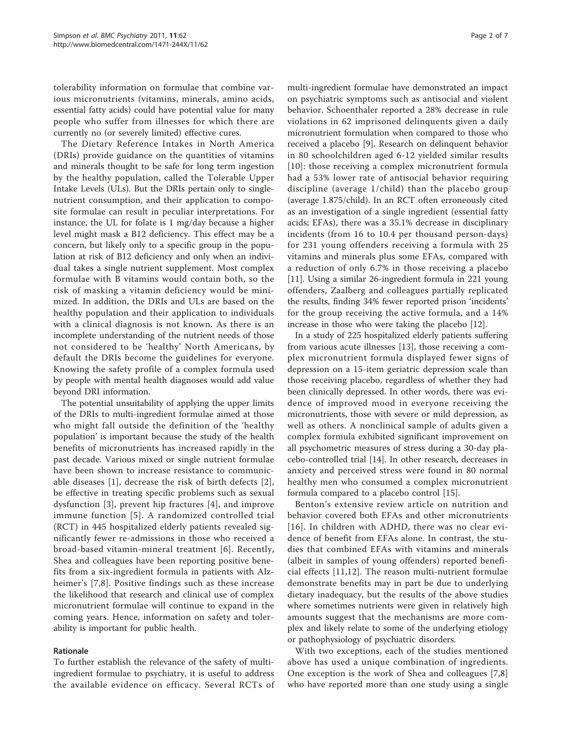tolerability information on formulae that combine various micronutrients (vitamins, minerals, amino acids, essential fatty acids) could have potential value for many people who suffer from illnesses for which there are currently no (or severely limited) effective cures.

The Dietary Reference Intakes in North America (DRIs) provide guidance on the quantities of vitamins and minerals thought to be safe for long term ingestion by the healthy population, called the Tolerable Upper Intake Levels (ULs). But the DRIs pertain only to singlenutrient consumption, and their application to composite formulae can result in peculiar interpretations. For instance, the UL for folate is 1 mg/day because a higher level might mask a B12 deficiency. This effect may be a concern, but likely only to a specific group in the population at risk of B12 deficiency and only when an individual takes a single nutrient supplement. Most complex formulae with B vitamins would contain both, so the risk of masking a vitamin deficiency would be minimized. In addition, the DRIs and ULs are based on the healthy population and their application to individuals with a clinical diagnosis is not known. As there is an incomplete understanding of the nutrient needs of those not considered to be 'healthy' North Americans, by default the DRIs become the guidelines for everyone. Knowing the safety profile of a complex formula used by people with mental health diagnoses would add value beyond DRI information.

The potential unsuitability of applying the upper limits of the DRIs to multi-ingredient formulae aimed at those who might fall outside the definition of the 'healthy population' is important because the study of the health benefits of micronutrients has increased rapidly in the past decade. Various mixed or single nutrient formulae have been shown to increase resistance to communicable diseases [[1\]](#page-5-0), decrease the risk of birth defects [[2](#page-5-0)], be effective in treating specific problems such as sexual dysfunction [[3\]](#page-5-0), prevent hip fractures [[4](#page-5-0)], and improve immune function [[5\]](#page-5-0). A randomized controlled trial (RCT) in 445 hospitalized elderly patients revealed significantly fewer re-admissions in those who received a broad-based vitamin-mineral treatment [[6\]](#page-5-0). Recently, Shea and colleagues have been reporting positive benefits from a six-ingredient formula in patients with Alzheimer's [\[7](#page-5-0),[8\]](#page-5-0). Positive findings such as these increase the likelihood that research and clinical use of complex micronutrient formulae will continue to expand in the coming years. Hence, information on safety and tolerability is important for public health.

## Rationale

To further establish the relevance of the safety of multiingredient formulae to psychiatry, it is useful to address the available evidence on efficacy. Several RCTs of multi-ingredient formulae have demonstrated an impact on psychiatric symptoms such as antisocial and violent behavior. Schoenthaler reported a 28% decrease in rule violations in 62 imprisoned delinquents given a daily micronutrient formulation when compared to those who received a placebo [[9\]](#page-5-0). Research on delinquent behavior in 80 schoolchildren aged 6-12 yielded similar results [[10](#page-5-0)]: those receiving a complex micronutrient formula had a 53% lower rate of antisocial behavior requiring discipline (average 1/child) than the placebo group (average 1.875/child). In an RCT often erroneously cited as an investigation of a single ingredient (essential fatty acids; EFAs), there was a 35.1% decrease in disciplinary incidents (from 16 to 10.4 per thousand person-days) for 231 young offenders receiving a formula with 25 vitamins and minerals plus some EFAs, compared with a reduction of only 6.7% in those receiving a placebo [[11\]](#page-5-0). Using a similar 26-ingredient formula in 221 young offenders, Zaalberg and colleagues partially replicated the results, finding 34% fewer reported prison 'incidents' for the group receiving the active formula, and a 14% increase in those who were taking the placebo [[12](#page-5-0)].

In a study of 225 hospitalized elderly patients suffering from various acute illnesses [[13\]](#page-5-0), those receiving a complex micronutrient formula displayed fewer signs of depression on a 15-item geriatric depression scale than those receiving placebo, regardless of whether they had been clinically depressed. In other words, there was evidence of improved mood in everyone receiving the micronutrients, those with severe or mild depression, as well as others. A nonclinical sample of adults given a complex formula exhibited significant improvement on all psychometric measures of stress during a 30-day placebo-controlled trial [[14](#page-5-0)]. In other research, decreases in anxiety and perceived stress were found in 80 normal healthy men who consumed a complex micronutrient formula compared to a placebo control [[15](#page-5-0)].

Benton's extensive review article on nutrition and behavior covered both EFAs and other micronutrients [[16\]](#page-6-0). In children with ADHD, there was no clear evidence of benefit from EFAs alone. In contrast, the studies that combined EFAs with vitamins and minerals (albeit in samples of young offenders) reported beneficial effects [[11,12](#page-5-0)]. The reason multi-nutrient formulae demonstrate benefits may in part be due to underlying dietary inadequacy, but the results of the above studies where sometimes nutrients were given in relatively high amounts suggest that the mechanisms are more complex and likely relate to some of the underlying etiology or pathophysiology of psychiatric disorders.

With two exceptions, each of the studies mentioned above has used a unique combination of ingredients. One exception is the work of Shea and colleagues [\[7,8](#page-5-0)] who have reported more than one study using a single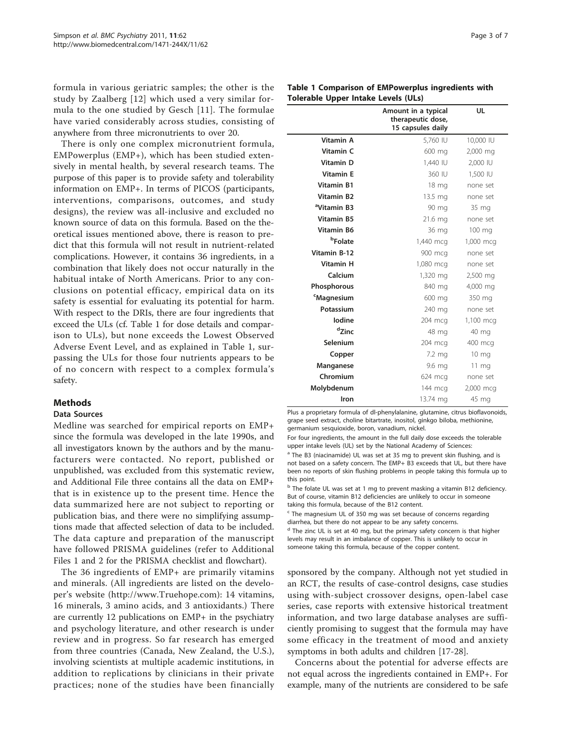formula in various geriatric samples; the other is the study by Zaalberg [[12\]](#page-5-0) which used a very similar formula to the one studied by Gesch [[11](#page-5-0)]. The formulae have varied considerably across studies, consisting of anywhere from three micronutrients to over 20.

There is only one complex micronutrient formula, EMPowerplus (EMP+), which has been studied extensively in mental health, by several research teams. The purpose of this paper is to provide safety and tolerability information on EMP+. In terms of PICOS (participants, interventions, comparisons, outcomes, and study designs), the review was all-inclusive and excluded no known source of data on this formula. Based on the theoretical issues mentioned above, there is reason to predict that this formula will not result in nutrient-related complications. However, it contains 36 ingredients, in a combination that likely does not occur naturally in the habitual intake of North Americans. Prior to any conclusions on potential efficacy, empirical data on its safety is essential for evaluating its potential for harm. With respect to the DRIs, there are four ingredients that exceed the ULs (cf. Table 1 for dose details and comparison to ULs), but none exceeds the Lowest Observed Adverse Event Level, and as explained in Table 1, surpassing the ULs for those four nutrients appears to be of no concern with respect to a complex formula's safety.

# **Methods**

## Data Sources

Medline was searched for empirical reports on EMP+ since the formula was developed in the late 1990s, and all investigators known by the authors and by the manufacturers were contacted. No report, published or unpublished, was excluded from this systematic review, and Additional File three contains all the data on EMP+ that is in existence up to the present time. Hence the data summarized here are not subject to reporting or publication bias, and there were no simplifying assumptions made that affected selection of data to be included. The data capture and preparation of the manuscript have followed PRISMA guidelines (refer to Additional Files [1](#page-5-0) and [2](#page-5-0) for the PRISMA checklist and flowchart).

The 36 ingredients of EMP+ are primarily vitamins and minerals. (All ingredients are listed on the developer's website (<http://www.Truehope.com>): 14 vitamins, 16 minerals, 3 amino acids, and 3 antioxidants.) There are currently 12 publications on EMP+ in the psychiatry and psychology literature, and other research is under review and in progress. So far research has emerged from three countries (Canada, New Zealand, the U.S.), involving scientists at multiple academic institutions, in addition to replications by clinicians in their private practices; none of the studies have been financially

| Table 1 Comparison of EMPowerplus ingredients with |  |  |
|----------------------------------------------------|--|--|
| <b>Tolerable Upper Intake Levels (ULs)</b>         |  |  |

|                         | Amount in a typical<br>therapeutic dose,<br>15 capsules daily | UL              |
|-------------------------|---------------------------------------------------------------|-----------------|
| Vitamin A               | 5,760 IU                                                      | 10,000 IU       |
| Vitamin C               | 600 mg                                                        | 2,000 mg        |
| <b>Vitamin D</b>        | 1,440 IU                                                      | 2,000 IU        |
| <b>Vitamin E</b>        | 360 IU                                                        | 1,500 IU        |
| <b>Vitamin B1</b>       | 18 mg                                                         | none set        |
| <b>Vitamin B2</b>       | 13.5 mg                                                       | none set        |
| <sup>a</sup> Vitamin B3 | 90 mg                                                         | 35 mg           |
| <b>Vitamin B5</b>       | 21.6 mg                                                       | none set        |
| <b>Vitamin B6</b>       | 36 mg                                                         | 100 mg          |
| <b>bFolate</b>          | 1,440 mcg                                                     | 1,000 mcg       |
| Vitamin B-12            | 900 mcg                                                       | none set        |
| <b>Vitamin H</b>        | 1,080 mcg                                                     | none set        |
| Calcium                 | 1,320 mg                                                      | 2,500 mg        |
| Phosphorous             | 840 mg                                                        | 4,000 mg        |
| <sup>c</sup> Magnesium  | 600 mg                                                        | 350 mg          |
| Potassium               | 240 mg                                                        | none set        |
| lodine                  | 204 mcg                                                       | 1,100 mcg       |
| dzinc                   | 48 mg                                                         | 40 mg           |
| Selenium                | 204 mcg                                                       | 400 mcg         |
| Copper                  | 7.2 mg                                                        | $10 \text{ mg}$ |
| Manganese               | 9.6 mg                                                        | $11 \text{ mg}$ |
| Chromium                | 624 mcg                                                       | none set        |
| Molybdenum              | 144 mcg                                                       | 2,000 mcg       |
| Iron                    | 13.74 mg                                                      | 45 mg           |

Plus a proprietary formula of dl-phenylalanine, glutamine, citrus bioflavonoids, grape seed extract, choline bitartrate, inositol, ginkgo biloba, methionine, germanium sesquioxide, boron, vanadium, nickel.

For four ingredients, the amount in the full daily dose exceeds the tolerable upper intake levels (UL) set by the National Academy of Sciences:

<sup>a</sup> The B3 (niacinamide) UL was set at 35 mg to prevent skin flushing, and is not based on a safety concern. The EMP+ B3 exceeds that UL, but there have been no reports of skin flushing problems in people taking this formula up to this point.

<sup>b</sup> The folate UL was set at 1 mg to prevent masking a vitamin B12 deficiency. But of course, vitamin B12 deficiencies are unlikely to occur in someone taking this formula, because of the B12 content.

 $c$  The magnesium UL of 350 mg was set because of concerns regarding diarrhea, but there do not appear to be any safety concerns.

<sup>d</sup> The zinc UL is set at 40 mg, but the primary safety concern is that higher levels may result in an imbalance of copper. This is unlikely to occur in someone taking this formula, because of the copper content.

sponsored by the company. Although not yet studied in an RCT, the results of case-control designs, case studies using with-subject crossover designs, open-label case series, case reports with extensive historical treatment information, and two large database analyses are sufficiently promising to suggest that the formula may have some efficacy in the treatment of mood and anxiety symptoms in both adults and children [\[17-28](#page-6-0)].

Concerns about the potential for adverse effects are not equal across the ingredients contained in EMP+. For example, many of the nutrients are considered to be safe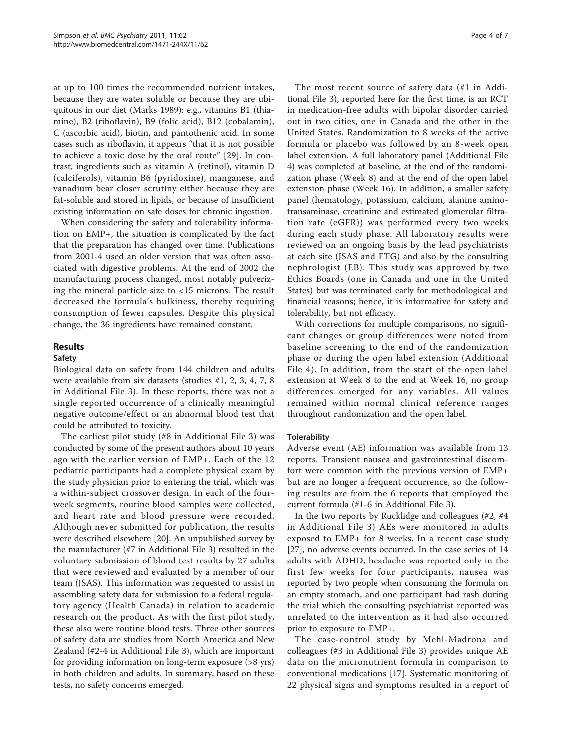at up to 100 times the recommended nutrient intakes, because they are water soluble or because they are ubiquitous in our diet (Marks 1989): e.g., vitamins B1 (thiamine), B2 (riboflavin), B9 (folic acid), B12 (cobalamin), C (ascorbic acid), biotin, and pantothenic acid. In some cases such as riboflavin, it appears "that it is not possible to achieve a toxic dose by the oral route" [[29](#page-6-0)]. In contrast, ingredients such as vitamin A (retinol), vitamin D (calciferols), vitamin B6 (pyridoxine), manganese, and vanadium bear closer scrutiny either because they are fat-soluble and stored in lipids, or because of insufficient existing information on safe doses for chronic ingestion.

When considering the safety and tolerability information on EMP+, the situation is complicated by the fact that the preparation has changed over time. Publications from 2001-4 used an older version that was often associated with digestive problems. At the end of 2002 the manufacturing process changed, most notably pulverizing the mineral particle size to <15 microns. The result decreased the formula's bulkiness, thereby requiring consumption of fewer capsules. Despite this physical change, the 36 ingredients have remained constant.

## Results

#### Safety

Biological data on safety from 144 children and adults were available from six datasets (studies #1, 2, 3, 4, 7, 8 in Additional File [3\)](#page-5-0). In these reports, there was not a single reported occurrence of a clinically meaningful negative outcome/effect or an abnormal blood test that could be attributed to toxicity.

The earliest pilot study (#8 in Additional File [3\)](#page-5-0) was conducted by some of the present authors about 10 years ago with the earlier version of EMP+. Each of the 12 pediatric participants had a complete physical exam by the study physician prior to entering the trial, which was a within-subject crossover design. In each of the fourweek segments, routine blood samples were collected, and heart rate and blood pressure were recorded. Although never submitted for publication, the results were described elsewhere [\[20\]](#page-6-0). An unpublished survey by the manufacturer (#7 in Additional File [3\)](#page-5-0) resulted in the voluntary submission of blood test results by 27 adults that were reviewed and evaluated by a member of our team (JSAS). This information was requested to assist in assembling safety data for submission to a federal regulatory agency (Health Canada) in relation to academic research on the product. As with the first pilot study, these also were routine blood tests. Three other sources of safety data are studies from North America and New Zealand (#2-4 in Additional File [3\)](#page-5-0), which are important for providing information on long-term exposure (>8 yrs) in both children and adults. In summary, based on these tests, no safety concerns emerged.

The most recent source of safety data (#1 in Additional File [3](#page-5-0)), reported here for the first time, is an RCT in medication-free adults with bipolar disorder carried out in two cities, one in Canada and the other in the United States. Randomization to 8 weeks of the active formula or placebo was followed by an 8-week open label extension. A full laboratory panel (Additional File [4\)](#page-5-0) was completed at baseline, at the end of the randomization phase (Week 8) and at the end of the open label extension phase (Week 16). In addition, a smaller safety panel (hematology, potassium, calcium, alanine aminotransaminase, creatinine and estimated glomerular filtration rate (eGFR)) was performed every two weeks during each study phase. All laboratory results were reviewed on an ongoing basis by the lead psychiatrists at each site (JSAS and ETG) and also by the consulting nephrologist (EB). This study was approved by two Ethics Boards (one in Canada and one in the United States) but was terminated early for methodological and financial reasons; hence, it is informative for safety and tolerability, but not efficacy.

With corrections for multiple comparisons, no significant changes or group differences were noted from baseline screening to the end of the randomization phase or during the open label extension (Additional File [4\)](#page-5-0). In addition, from the start of the open label extension at Week 8 to the end at Week 16, no group differences emerged for any variables. All values remained within normal clinical reference ranges throughout randomization and the open label.

#### **Tolerability**

Adverse event (AE) information was available from 13 reports. Transient nausea and gastrointestinal discomfort were common with the previous version of EMP+ but are no longer a frequent occurrence, so the following results are from the 6 reports that employed the current formula (#1-6 in Additional File [3\)](#page-5-0).

In the two reports by Rucklidge and colleagues (#2, #4 in Additional File [3\)](#page-5-0) AEs were monitored in adults exposed to EMP+ for 8 weeks. In a recent case study [[27\]](#page-6-0), no adverse events occurred. In the case series of 14 adults with ADHD, headache was reported only in the first few weeks for four participants, nausea was reported by two people when consuming the formula on an empty stomach, and one participant had rash during the trial which the consulting psychiatrist reported was unrelated to the intervention as it had also occurred prior to exposure to EMP+.

The case-control study by Mehl-Madrona and colleagues (#3 in Additional File [3\)](#page-5-0) provides unique AE data on the micronutrient formula in comparison to conventional medications [\[17\]](#page-6-0). Systematic monitoring of 22 physical signs and symptoms resulted in a report of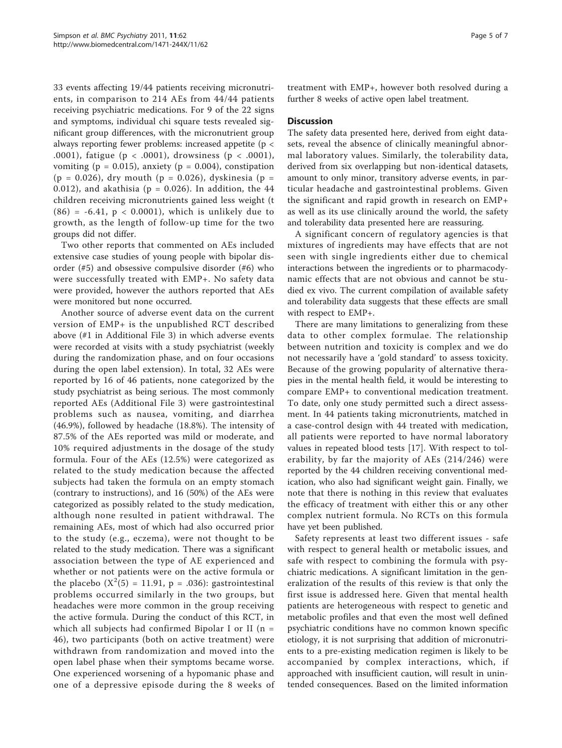33 events affecting 19/44 patients receiving micronutrients, in comparison to 214 AEs from 44/44 patients receiving psychiatric medications. For 9 of the 22 signs and symptoms, individual chi square tests revealed significant group differences, with the micronutrient group always reporting fewer problems: increased appetite (p < .0001), fatigue (p < .0001), drowsiness (p < .0001), vomiting ( $p = 0.015$ ), anxiety ( $p = 0.004$ ), constipation  $(p = 0.026)$ , dry mouth  $(p = 0.026)$ , dyskinesia  $(p = 0.026)$ 0.012), and akathisia ( $p = 0.026$ ). In addition, the 44 children receiving micronutrients gained less weight (t  $(86) = -6.41$ ,  $p < 0.0001$ ), which is unlikely due to growth, as the length of follow-up time for the two groups did not differ.

Two other reports that commented on AEs included extensive case studies of young people with bipolar disorder (#5) and obsessive compulsive disorder (#6) who were successfully treated with EMP+. No safety data were provided, however the authors reported that AEs were monitored but none occurred.

Another source of adverse event data on the current version of EMP+ is the unpublished RCT described above (#1 in Additional File [3](#page-5-0)) in which adverse events were recorded at visits with a study psychiatrist (weekly during the randomization phase, and on four occasions during the open label extension). In total, 32 AEs were reported by 16 of 46 patients, none categorized by the study psychiatrist as being serious. The most commonly reported AEs (Additional File [3](#page-5-0)) were gastrointestinal problems such as nausea, vomiting, and diarrhea (46.9%), followed by headache (18.8%). The intensity of 87.5% of the AEs reported was mild or moderate, and 10% required adjustments in the dosage of the study formula. Four of the AEs (12.5%) were categorized as related to the study medication because the affected subjects had taken the formula on an empty stomach (contrary to instructions), and 16 (50%) of the AEs were categorized as possibly related to the study medication, although none resulted in patient withdrawal. The remaining AEs, most of which had also occurred prior to the study (e.g., eczema), were not thought to be related to the study medication. There was a significant association between the type of AE experienced and whether or not patients were on the active formula or the placebo  $(X^2(5) = 11.91, p = .036)$ : gastrointestinal problems occurred similarly in the two groups, but headaches were more common in the group receiving the active formula. During the conduct of this RCT, in which all subjects had confirmed Bipolar I or II ( $n =$ 46), two participants (both on active treatment) were withdrawn from randomization and moved into the open label phase when their symptoms became worse. One experienced worsening of a hypomanic phase and one of a depressive episode during the 8 weeks of

treatment with EMP+, however both resolved during a further 8 weeks of active open label treatment.

# **Discussion**

The safety data presented here, derived from eight datasets, reveal the absence of clinically meaningful abnormal laboratory values. Similarly, the tolerability data, derived from six overlapping but non-identical datasets, amount to only minor, transitory adverse events, in particular headache and gastrointestinal problems. Given the significant and rapid growth in research on EMP+ as well as its use clinically around the world, the safety and tolerability data presented here are reassuring.

A significant concern of regulatory agencies is that mixtures of ingredients may have effects that are not seen with single ingredients either due to chemical interactions between the ingredients or to pharmacodynamic effects that are not obvious and cannot be studied ex vivo. The current compilation of available safety and tolerability data suggests that these effects are small with respect to EMP+.

There are many limitations to generalizing from these data to other complex formulae. The relationship between nutrition and toxicity is complex and we do not necessarily have a 'gold standard' to assess toxicity. Because of the growing popularity of alternative therapies in the mental health field, it would be interesting to compare EMP+ to conventional medication treatment. To date, only one study permitted such a direct assessment. In 44 patients taking micronutrients, matched in a case-control design with 44 treated with medication, all patients were reported to have normal laboratory values in repeated blood tests [[17\]](#page-6-0). With respect to tolerability, by far the majority of AEs (214/246) were reported by the 44 children receiving conventional medication, who also had significant weight gain. Finally, we note that there is nothing in this review that evaluates the efficacy of treatment with either this or any other complex nutrient formula. No RCTs on this formula have yet been published.

Safety represents at least two different issues - safe with respect to general health or metabolic issues, and safe with respect to combining the formula with psychiatric medications. A significant limitation in the generalization of the results of this review is that only the first issue is addressed here. Given that mental health patients are heterogeneous with respect to genetic and metabolic profiles and that even the most well defined psychiatric conditions have no common known specific etiology, it is not surprising that addition of micronutrients to a pre-existing medication regimen is likely to be accompanied by complex interactions, which, if approached with insufficient caution, will result in unintended consequences. Based on the limited information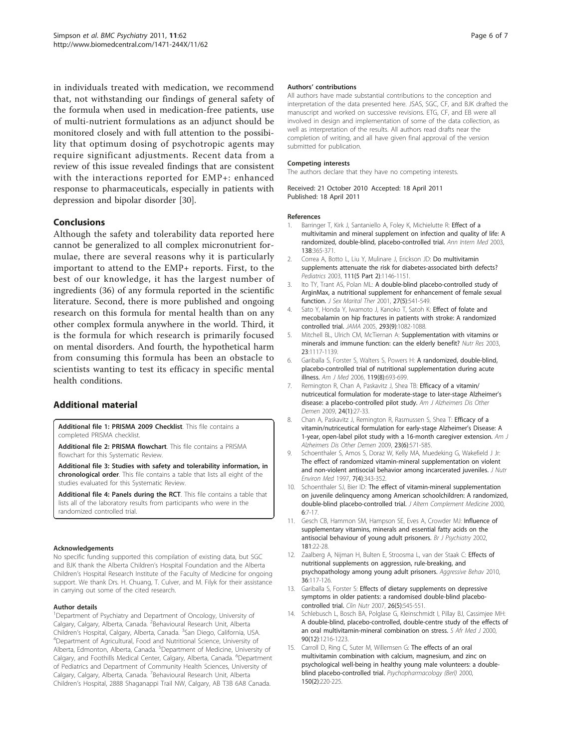<span id="page-5-0"></span>in individuals treated with medication, we recommend that, not withstanding our findings of general safety of the formula when used in medication-free patients, use of multi-nutrient formulations as an adjunct should be monitored closely and with full attention to the possibility that optimum dosing of psychotropic agents may require significant adjustments. Recent data from a review of this issue revealed findings that are consistent with the interactions reported for EMP+: enhanced response to pharmaceuticals, especially in patients with depression and bipolar disorder [\[30\]](#page-6-0).

# Conclusions

Although the safety and tolerability data reported here cannot be generalized to all complex micronutrient formulae, there are several reasons why it is particularly important to attend to the EMP+ reports. First, to the best of our knowledge, it has the largest number of ingredients (36) of any formula reported in the scientific literature. Second, there is more published and ongoing research on this formula for mental health than on any other complex formula anywhere in the world. Third, it is the formula for which research is primarily focused on mental disorders. And fourth, the hypothetical harm from consuming this formula has been an obstacle to scientists wanting to test its efficacy in specific mental health conditions.

# Additional material

[Additional file 1: P](http://www.biomedcentral.com/content/supplementary/1471-244X-11-62-S1.DOC)RISMA 2009 Checklist. This file contains a completed PRISMA checklist.

[Additional file 2: P](http://www.biomedcentral.com/content/supplementary/1471-244X-11-62-S2.DOC)RISMA flowchart. This file contains a PRISMA flowchart for this Systematic Review.

[Additional file 3: S](http://www.biomedcentral.com/content/supplementary/1471-244X-11-62-S3.DOC)tudies with safety and tolerability information, in chronological order. This file contains a table that lists all eight of the studies evaluated for this Systematic Review.

[Additional file 4: P](http://www.biomedcentral.com/content/supplementary/1471-244X-11-62-S4.DOC)anels during the RCT. This file contains a table that lists all of the laboratory results from participants who were in the randomized controlled trial.

#### Acknowledgements

No specific funding supported this compilation of existing data, but SGC and BJK thank the Alberta Children's Hospital Foundation and the Alberta Children's Hospital Research Institute of the Faculty of Medicine for ongoing support. We thank Drs. H. Chuang, T. Culver, and M. Filyk for their assistance in carrying out some of the cited research.

#### Author details

<sup>1</sup>Department of Psychiatry and Department of Oncology, University of Calgary, Calgary, Alberta, Canada. <sup>2</sup>Behavioural Research Unit, Alberta Children's Hospital, Calgary, Alberta, Canada. <sup>3</sup>San Diego, California, USA.<br><sup>4</sup>Dopartment of Agricultural Eood and Nutritional Science, University of Department of Agricultural, Food and Nutritional Science, University of Alberta, Edmonton, Alberta, Canada. <sup>5</sup>Department of Medicine, University of Calgary, and Foothills Medical Center, Calgary, Alberta, Canada. <sup>6</sup>Department of Pediatrics and Department of Community Health Sciences, University of Calgary, Calgary, Alberta, Canada. <sup>7</sup>Behavioural Research Unit, Alberta Children's Hospital, 2888 Shaganappi Trail NW, Calgary, AB T3B 6A8 Canada.

#### Authors' contributions

All authors have made substantial contributions to the conception and interpretation of the data presented here. JSAS, SGC, CF, and BJK drafted the manuscript and worked on successive revisions. ETG, CF, and EB were all involved in design and implementation of some of the data collection, as well as interpretation of the results. All authors read drafts near the completion of writing, and all have given final approval of the version submitted for publication.

#### Competing interests

The authors declare that they have no competing interests.

Received: 21 October 2010 Accepted: 18 April 2011 Published: 18 April 2011

#### References

- 1. Barringer T, Kirk J, Santaniello A, Foley K, Michielutte R: [Effect of a](http://www.ncbi.nlm.nih.gov/pubmed/12614088?dopt=Abstract) [multivitamin and mineral supplement on infection and quality of life: A](http://www.ncbi.nlm.nih.gov/pubmed/12614088?dopt=Abstract) [randomized, double-blind, placebo-controlled trial.](http://www.ncbi.nlm.nih.gov/pubmed/12614088?dopt=Abstract) Ann Intern Med 2003, 138:365-371.
- 2. Correa A, Botto L, Liu Y, Mulinare J, Erickson JD: [Do multivitamin](http://www.ncbi.nlm.nih.gov/pubmed/12728128?dopt=Abstract) [supplements attenuate the risk for diabetes-associated birth defects?](http://www.ncbi.nlm.nih.gov/pubmed/12728128?dopt=Abstract) Pediatrics 2003, 111(5 Part 2):1146-1151.
- Ito TY, Trant AS, Polan ML: [A double-blind placebo-controlled study of](http://www.ncbi.nlm.nih.gov/pubmed/11554217?dopt=Abstract) [ArginMax, a nutritional supplement for enhancement of female sexual](http://www.ncbi.nlm.nih.gov/pubmed/11554217?dopt=Abstract) [function.](http://www.ncbi.nlm.nih.gov/pubmed/11554217?dopt=Abstract) J Sex Marital Ther 2001, 27(5):541-549.
- 4. Sato Y, Honda Y, Iwamoto J, Kanoko T, Satoh K: [Effect of folate and](http://www.ncbi.nlm.nih.gov/pubmed/15741530?dopt=Abstract) [mecobalamin on hip fractures in patients with stroke: A randomized](http://www.ncbi.nlm.nih.gov/pubmed/15741530?dopt=Abstract) [controlled trial.](http://www.ncbi.nlm.nih.gov/pubmed/15741530?dopt=Abstract) JAMA 2005, 293(9):1082-1088.
- 5. Mitchell BL, Ulrich CM, McTiernan A: Supplementation with vitamins or minerals and immune function: can the elderly benefit? Nutr Res 2003, 23:1117-1139.
- 6. Gariballa S, Forster S, Walters S, Powers H: [A randomized, double-blind,](http://www.ncbi.nlm.nih.gov/pubmed/16887416?dopt=Abstract) [placebo-controlled trial of nutritional supplementation during acute](http://www.ncbi.nlm.nih.gov/pubmed/16887416?dopt=Abstract) [illness.](http://www.ncbi.nlm.nih.gov/pubmed/16887416?dopt=Abstract) Am J Med 2006, 119(8):693-699.
- 7. Remington R, Chan A, Paskavitz J, Shea TB: [Efficacy of a vitamin/](http://www.ncbi.nlm.nih.gov/pubmed/19056706?dopt=Abstract) [nutriceutical formulation for moderate-stage to later-stage Alzheimer](http://www.ncbi.nlm.nih.gov/pubmed/19056706?dopt=Abstract)'s [disease: a placebo-controlled pilot study.](http://www.ncbi.nlm.nih.gov/pubmed/19056706?dopt=Abstract) Am J Alzheimers Dis Other Demen 2009, 24(1):27-33.
- 8. Chan A, Paskavitz J, Remington R, Rasmussen S, Shea T: Efficacy of a vitamin/nutriceutical formulation for early-stage Alzheimer's Disease: A 1-year, open-label pilot study with a 16-month caregiver extension. Am J Alzheimers Dis Other Demen 2009, 23(6):571-585.
- 9. Schoenthaler S, Amos S, Doraz W, Kelly MA, Muedeking G, Wakefield J Jr: The effect of randomized vitamin-mineral supplementation on violent and non-violent antisocial behavior among incarcerated juveniles. J Nutr Environ Med 1997, 7(4):343-352.
- 10. Schoenthaler SJ, Bier ID: The effect of vitamin-mineral supplementation on juvenile delinquency among American schoolchildren: A randomized, double-blind placebo-controlled trial. J Altern Complement Medicine 2000, 6:7-17.
- 11. Gesch CB, Hammon SM, Hampson SE, Eves A, Crowder MJ: [Influence of](http://www.ncbi.nlm.nih.gov/pubmed/12091259?dopt=Abstract) [supplementary vitamins, minerals and essential fatty acids on the](http://www.ncbi.nlm.nih.gov/pubmed/12091259?dopt=Abstract) [antisocial behaviour of young adult prisoners.](http://www.ncbi.nlm.nih.gov/pubmed/12091259?dopt=Abstract) Br J Psychiatry 2002, 181:22-28.
- 12. Zaalberg A, Nijman H, Bulten E, Stroosma L, van der Staak C: Effects of nutritional supplements on aggression, rule-breaking, and psychopathology among young adult prisoners. Aggressive Behav 2010, 36:117-126.
- 13. Gariballa S, Forster S: [Effects of dietary supplements on depressive](http://www.ncbi.nlm.nih.gov/pubmed/17662509?dopt=Abstract) [symptoms in older patients: a randomised double-blind placebo](http://www.ncbi.nlm.nih.gov/pubmed/17662509?dopt=Abstract)[controlled trial.](http://www.ncbi.nlm.nih.gov/pubmed/17662509?dopt=Abstract) Clin Nutr 2007, 26(5):545-551.
- 14. Schlebusch L, Bosch BA, Polglase G, Kleinschmidt I, Pillay BJ, Cassimjee MH: [A double-blind, placebo-controlled, double-centre study of the effects of](http://www.ncbi.nlm.nih.gov/pubmed/11234653?dopt=Abstract) [an oral multivitamin-mineral combination on stress.](http://www.ncbi.nlm.nih.gov/pubmed/11234653?dopt=Abstract) S Afr Med J 2000, 90(12):1216-1223.
- 15. Carroll D, Ring C, Suter M, Willemsen G: [The effects of an oral](http://www.ncbi.nlm.nih.gov/pubmed/10907676?dopt=Abstract) [multivitamin combination with calcium, magnesium, and zinc on](http://www.ncbi.nlm.nih.gov/pubmed/10907676?dopt=Abstract) [psychological well-being in healthy young male volunteers: a double](http://www.ncbi.nlm.nih.gov/pubmed/10907676?dopt=Abstract)[blind placebo-controlled trial.](http://www.ncbi.nlm.nih.gov/pubmed/10907676?dopt=Abstract) Psychopharmacology (Berl) 2000, 150(2):220-225.